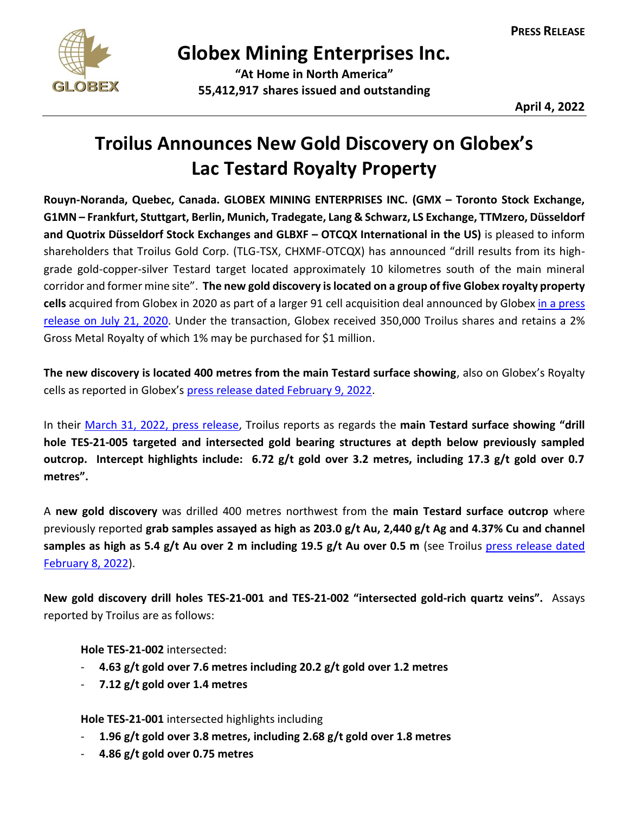

## **Globex Mining Enterprises Inc.**

**"At Home in North America" 55,412,917 shares issued and outstanding**

**April 4, 2022**

## **Troilus Announces New Gold Discovery on Globex's Lac Testard Royalty Property**

**Rouyn-Noranda, Quebec, Canada. GLOBEX MINING ENTERPRISES INC. (GMX – Toronto Stock Exchange, G1MN – Frankfurt, Stuttgart, Berlin, Munich, Tradegate, Lang & Schwarz, LS Exchange, TTMzero, Düsseldorf and Quotrix Düsseldorf Stock Exchanges and GLBXF – OTCQX International in the US)** is pleased to inform shareholders that Troilus Gold Corp. (TLG-TSX, CHXMF-OTCQX) has announced "drill results from its highgrade gold-copper-silver Testard target located approximately 10 kilometres south of the main mineral corridor and former mine site". **The new gold discovery is located on a group of five Globex royalty property cells** acquired from Globex in 2020 as part of a larger 91 cell acquisition deal announced by Globex [in a press](https://www.globexmining.com/staging/admin/news_pdfs/2020-07-21%20Globex%20Sells%2091%20Claims%20South%20of%20the%20Troilus%20Gold%20Mine.pdf)  [release on July 21, 2020.](https://www.globexmining.com/staging/admin/news_pdfs/2020-07-21%20Globex%20Sells%2091%20Claims%20South%20of%20the%20Troilus%20Gold%20Mine.pdf) Under the transaction, Globex received 350,000 Troilus shares and retains a 2% Gross Metal Royalty of which 1% may be purchased for \$1 million.

**The new discovery is located 400 metres from the main Testard surface showing**, also on Globex's Royalty cells as reported in Globex's [press release dated February 9, 2022.](https://www.globexmining.com/staging/admin/news_pdfs/2022-02-09%20Troilus%20Results%20on%20Globexs%20Lac%20Testard%20Royalty%20Claims.pdf)

In their [March 31, 2022,](https://www.troilusgold.com/news-and-media/news-releases/troilus-announces-new-discovery-at-testard-drills-46-gt-gold-over-76m-incl-202-gt-over-12m-67-gt-gold-over-32m-10km-from-main-mine-site) press release, Troilus reports as regards the **main Testard surface showing "drill hole TES-21-005 targeted and intersected gold bearing structures at depth below previously sampled outcrop. Intercept highlights include: 6.72 g/t gold over 3.2 metres, including 17.3 g/t gold over 0.7 metres".**

A **new gold discovery** was drilled 400 metres northwest from the **main Testard surface outcrop** where previously reported **grab samples assayed as high as 203.0 g/t Au, 2,440 g/t Ag and 4.37% Cu and channel**  samples as high as 5.4 g/t Au over 2 m including 19.5 g/t Au over 0.5 m (see Troilus press release dated [February 8, 2022\)](https://www.troilusgold.com/news-and-media/news-releases/troilus-provides-recap-of-regional-exploration-activities-completed-in-h2-2021-including-maiden-drilling-at-testard-target-where-previously-reported-grab-samples-returned-up-to-203-gt-gold-2440-gt-silver-and-437-copper).

**New gold discovery drill holes TES-21-001 and TES-21-002 "intersected gold-rich quartz veins".** Assays reported by Troilus are as follows:

**Hole TES-21-002** intersected:

- **4.63 g/t gold over 7.6 metres including 20.2 g/t gold over 1.2 metres**
- **7.12 g/t gold over 1.4 metres**

**Hole TES-21-001** intersected highlights including

- **1.96 g/t gold over 3.8 metres, including 2.68 g/t gold over 1.8 metres**
- **4.86 g/t gold over 0.75 metres**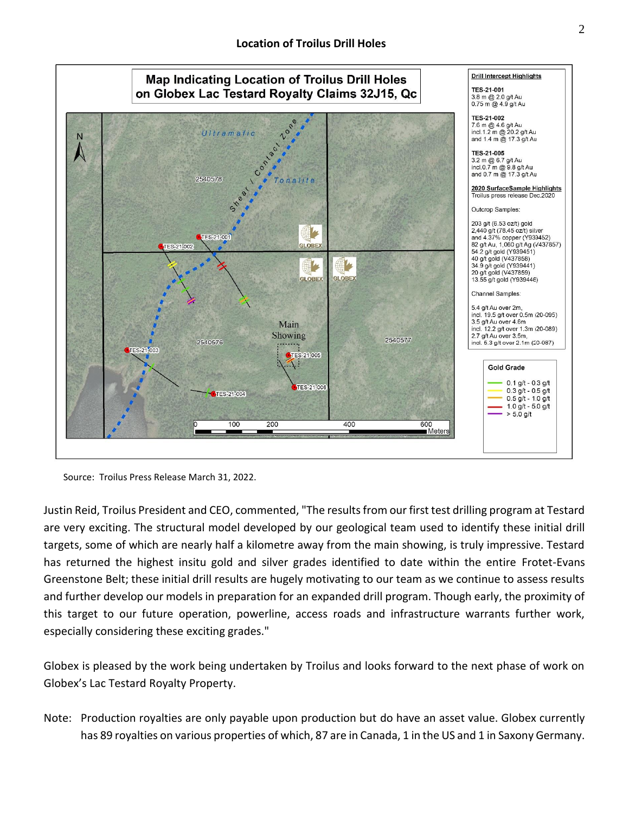

Source: Troilus Press Release March 31, 2022.

Justin Reid, Troilus President and CEO, commented, "The results from our first test drilling program at Testard are very exciting. The structural model developed by our geological team used to identify these initial drill targets, some of which are nearly half a kilometre away from the main showing, is truly impressive. Testard has returned the highest insitu gold and silver grades identified to date within the entire Frotet-Evans Greenstone Belt; these initial drill results are hugely motivating to our team as we continue to assess results and further develop our models in preparation for an expanded drill program. Though early, the proximity of this target to our future operation, powerline, access roads and infrastructure warrants further work, especially considering these exciting grades."

Globex is pleased by the work being undertaken by Troilus and looks forward to the next phase of work on Globex's Lac Testard Royalty Property.

Note: Production royalties are only payable upon production but do have an asset value. Globex currently has 89 royalties on various properties of which, 87 are in Canada, 1 in the US and 1 in Saxony Germany.